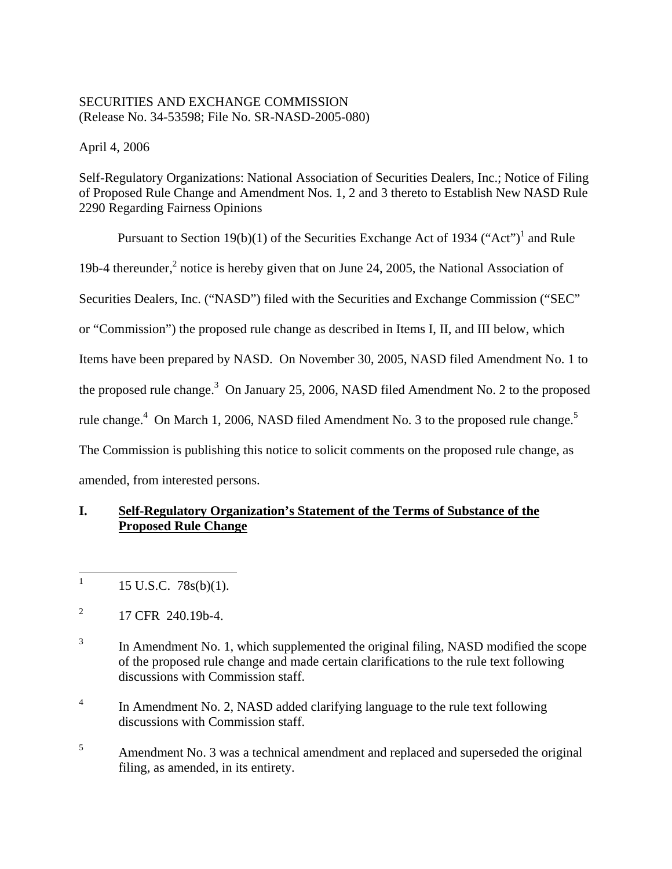# SECURITIES AND EXCHANGE COMMISSION (Release No. 34-53598; File No. SR-NASD-2005-080)

April 4, 2006

Self-Regulatory Organizations: National Association of Securities Dealers, Inc.; Notice of Filing of Proposed Rule Change and Amendment Nos. 1, 2 and 3 thereto to Establish New NASD Rule 2290 Regarding Fairness Opinions

Pursuant to Section 19(b)(1) of the Securities Exchange Act of 1934 ("Act")<sup>1</sup> and Rule 19b-4 thereunder, $^2$  notice is hereby given that on June 24, 2005, the National Association of Securities Dealers, Inc. ("NASD") filed with the Securities and Exchange Commission ("SEC" or "Commission") the proposed rule change as described in Items I, II, and III below, which Items have been prepared by NASD. On November 30, 2005, NASD filed Amendment No. 1 to the proposed rule change.<sup>3</sup> On January 25, 2006, NASD filed Amendment No. 2 to the proposed rule change.<sup>4</sup> On March 1, 2006, NASD filed Amendment No. 3 to the proposed rule change.<sup>5</sup> The Commission is publishing this notice to solicit comments on the proposed rule change, as amended, from interested persons.

# **I. Self-Regulatory Organization's Statement of the Terms of Substance of the Proposed Rule Change**

 $\frac{1}{1}$ 15 U.S.C. 78s(b)(1).

2 17 CFR 240.19b-4.

- 3 In Amendment No. 1, which supplemented the original filing, NASD modified the scope of the proposed rule change and made certain clarifications to the rule text following discussions with Commission staff.
- 4 In Amendment No. 2, NASD added clarifying language to the rule text following discussions with Commission staff.
- 5 Amendment No. 3 was a technical amendment and replaced and superseded the original filing, as amended, in its entirety.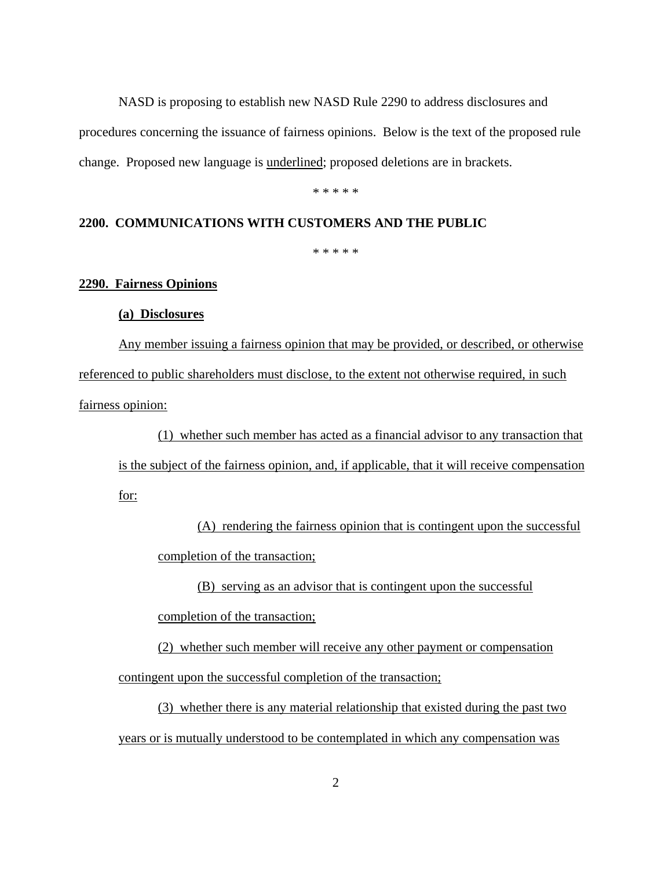NASD is proposing to establish new NASD Rule 2290 to address disclosures and procedures concerning the issuance of fairness opinions. Below is the text of the proposed rule change. Proposed new language is underlined; proposed deletions are in brackets.

\* \* \* \* \*

### **2200. COMMUNICATIONS WITH CUSTOMERS AND THE PUBLIC**

\* \* \* \* \*

### **2290. Fairness Opinions**

### **(a) Disclosures**

Any member issuing a fairness opinion that may be provided, or described, or otherwise referenced to public shareholders must disclose, to the extent not otherwise required, in such fairness opinion:

(1) whether such member has acted as a financial advisor to any transaction that is the subject of the fairness opinion, and, if applicable, that it will receive compensation for:

(A) rendering the fairness opinion that is contingent upon the successful completion of the transaction;

(B) serving as an advisor that is contingent upon the successful

completion of the transaction;

(2) whether such member will receive any other payment or compensation

contingent upon the successful completion of the transaction;

 (3) whether there is any material relationship that existed during the past two years or is mutually understood to be contemplated in which any compensation was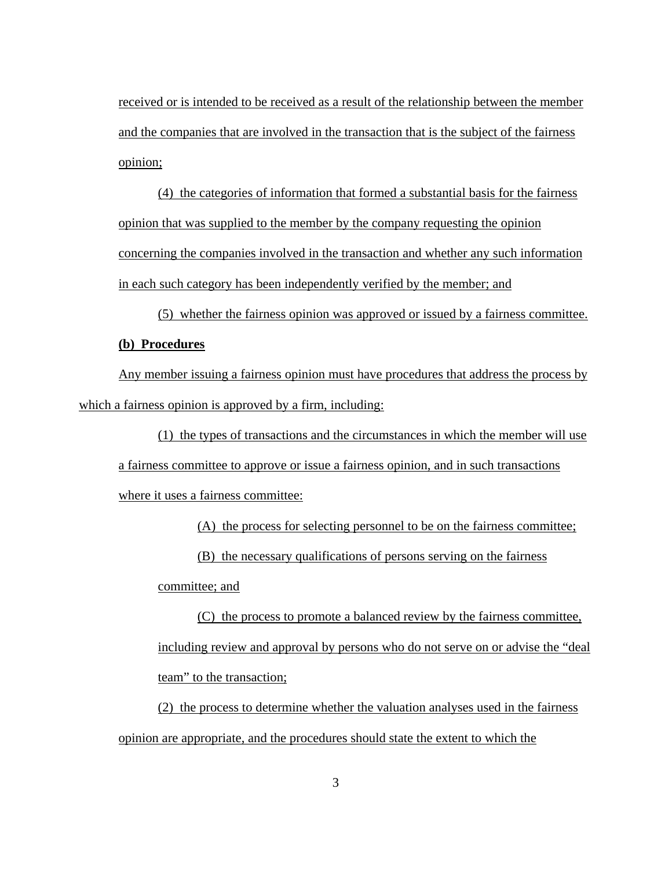received or is intended to be received as a result of the relationship between the member and the companies that are involved in the transaction that is the subject of the fairness opinion;

(4) the categories of information that formed a substantial basis for the fairness opinion that was supplied to the member by the company requesting the opinion concerning the companies involved in the transaction and whether any such information in each such category has been independently verified by the member; and

(5) whether the fairness opinion was approved or issued by a fairness committee. **(b) Procedures**

Any member issuing a fairness opinion must have procedures that address the process by which a fairness opinion is approved by a firm, including:

(1) the types of transactions and the circumstances in which the member will use

a fairness committee to approve or issue a fairness opinion, and in such transactions

where it uses a fairness committee:

(A) the process for selecting personnel to be on the fairness committee;

(B) the necessary qualifications of persons serving on the fairness

committee; and

(C) the process to promote a balanced review by the fairness committee, including review and approval by persons who do not serve on or advise the "deal team" to the transaction;

(2) the process to determine whether the valuation analyses used in the fairness opinion are appropriate, and the procedures should state the extent to which the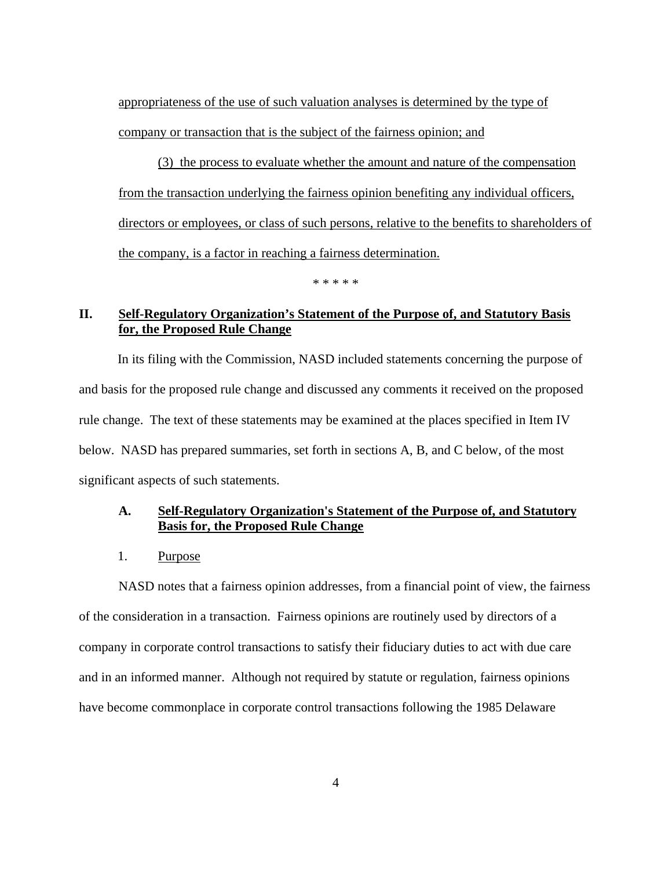appropriateness of the use of such valuation analyses is determined by the type of company or transaction that is the subject of the fairness opinion; and

 (3) the process to evaluate whether the amount and nature of the compensation from the transaction underlying the fairness opinion benefiting any individual officers, directors or employees, or class of such persons, relative to the benefits to shareholders of the company, is a factor in reaching a fairness determination.

\* \* \* \* \*

# **II. Self-Regulatory Organization's Statement of the Purpose of, and Statutory Basis for, the Proposed Rule Change**

In its filing with the Commission, NASD included statements concerning the purpose of and basis for the proposed rule change and discussed any comments it received on the proposed rule change. The text of these statements may be examined at the places specified in Item IV below. NASD has prepared summaries, set forth in sections A, B, and C below, of the most significant aspects of such statements.

### **A. Self-Regulatory Organization's Statement of the Purpose of, and Statutory Basis for, the Proposed Rule Change**

1. Purpose

 NASD notes that a fairness opinion addresses, from a financial point of view, the fairness of the consideration in a transaction. Fairness opinions are routinely used by directors of a company in corporate control transactions to satisfy their fiduciary duties to act with due care and in an informed manner. Although not required by statute or regulation, fairness opinions have become commonplace in corporate control transactions following the 1985 Delaware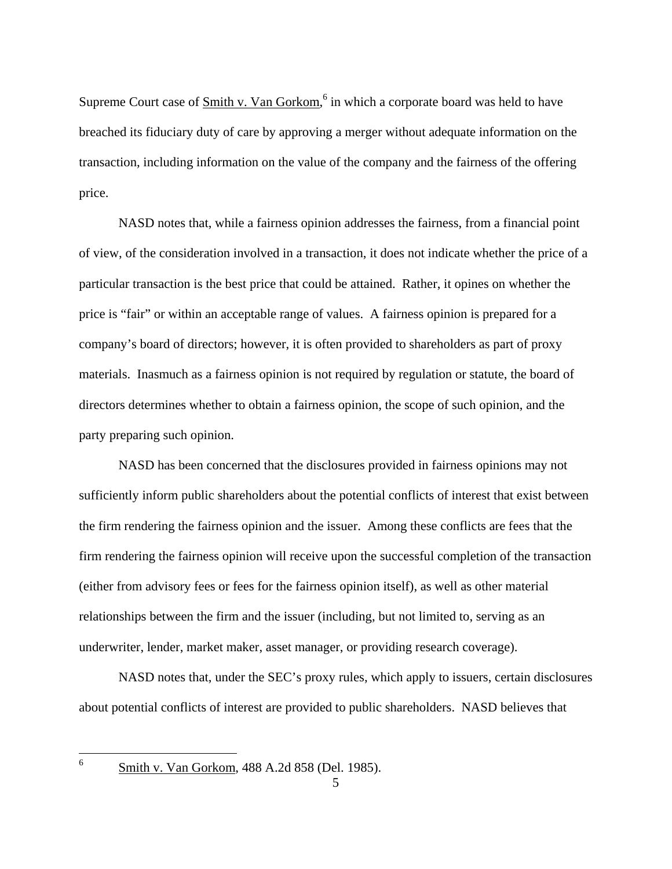Supreme Court case of **Smith v. Van Gorkom**,<sup>6</sup> in which a corporate board was held to have breached its fiduciary duty of care by approving a merger without adequate information on the transaction, including information on the value of the company and the fairness of the offering price.

 NASD notes that, while a fairness opinion addresses the fairness, from a financial point of view, of the consideration involved in a transaction, it does not indicate whether the price of a particular transaction is the best price that could be attained. Rather, it opines on whether the price is "fair" or within an acceptable range of values. A fairness opinion is prepared for a company's board of directors; however, it is often provided to shareholders as part of proxy materials. Inasmuch as a fairness opinion is not required by regulation or statute, the board of directors determines whether to obtain a fairness opinion, the scope of such opinion, and the party preparing such opinion.

 NASD has been concerned that the disclosures provided in fairness opinions may not sufficiently inform public shareholders about the potential conflicts of interest that exist between the firm rendering the fairness opinion and the issuer. Among these conflicts are fees that the firm rendering the fairness opinion will receive upon the successful completion of the transaction (either from advisory fees or fees for the fairness opinion itself), as well as other material relationships between the firm and the issuer (including, but not limited to, serving as an underwriter, lender, market maker, asset manager, or providing research coverage).

 NASD notes that, under the SEC's proxy rules, which apply to issuers, certain disclosures about potential conflicts of interest are provided to public shareholders. NASD believes that

 $\frac{1}{6}$ 

Smith v. Van Gorkom, 488 A.2d 858 (Del. 1985).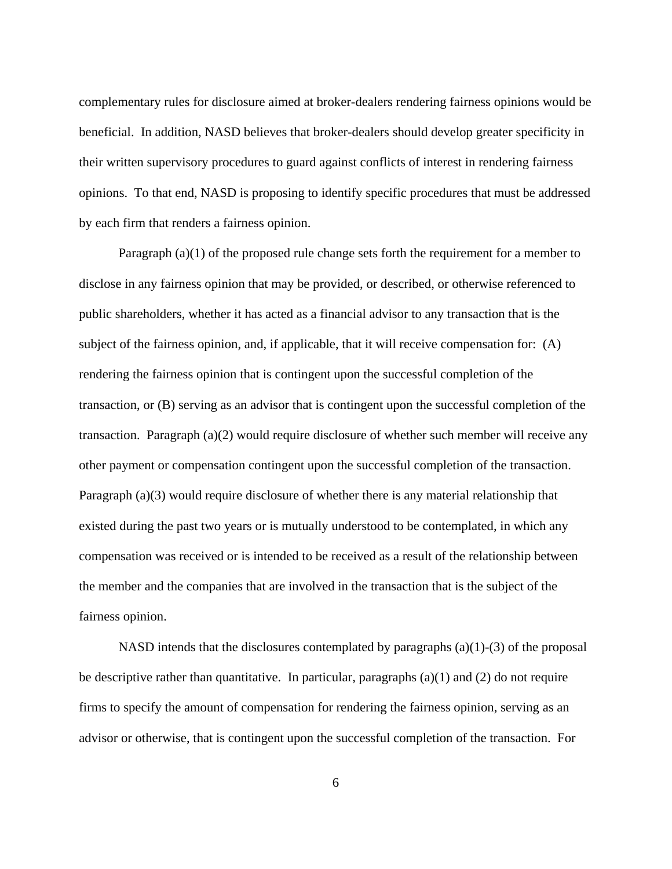complementary rules for disclosure aimed at broker-dealers rendering fairness opinions would be beneficial. In addition, NASD believes that broker-dealers should develop greater specificity in their written supervisory procedures to guard against conflicts of interest in rendering fairness opinions. To that end, NASD is proposing to identify specific procedures that must be addressed by each firm that renders a fairness opinion.

Paragraph (a)(1) of the proposed rule change sets forth the requirement for a member to disclose in any fairness opinion that may be provided, or described, or otherwise referenced to public shareholders, whether it has acted as a financial advisor to any transaction that is the subject of the fairness opinion, and, if applicable, that it will receive compensation for: (A) rendering the fairness opinion that is contingent upon the successful completion of the transaction, or (B) serving as an advisor that is contingent upon the successful completion of the transaction. Paragraph (a)(2) would require disclosure of whether such member will receive any other payment or compensation contingent upon the successful completion of the transaction. Paragraph (a)(3) would require disclosure of whether there is any material relationship that existed during the past two years or is mutually understood to be contemplated, in which any compensation was received or is intended to be received as a result of the relationship between the member and the companies that are involved in the transaction that is the subject of the fairness opinion.

NASD intends that the disclosures contemplated by paragraphs (a)(1)-(3) of the proposal be descriptive rather than quantitative. In particular, paragraphs  $(a)(1)$  and  $(2)$  do not require firms to specify the amount of compensation for rendering the fairness opinion, serving as an advisor or otherwise, that is contingent upon the successful completion of the transaction. For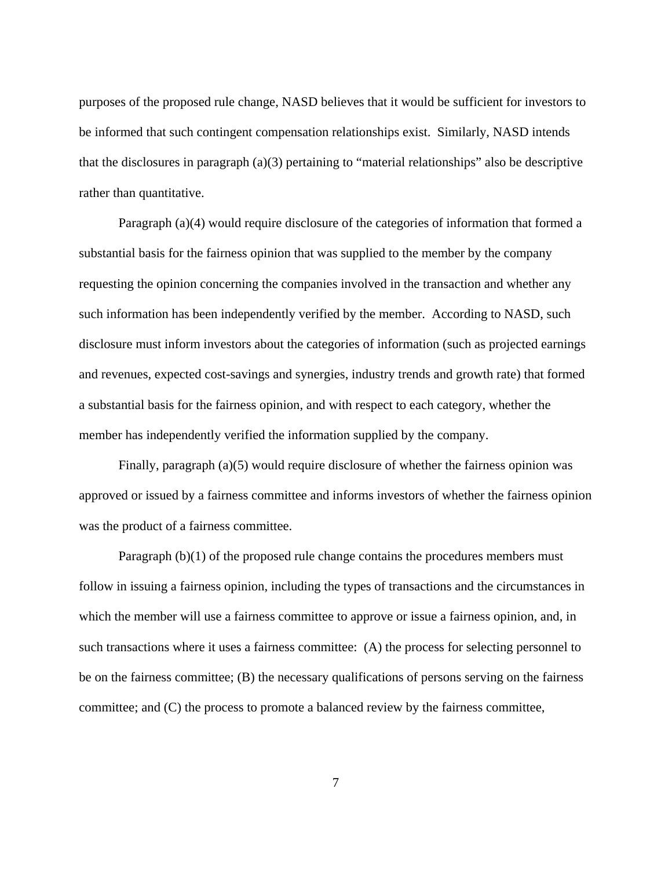purposes of the proposed rule change, NASD believes that it would be sufficient for investors to be informed that such contingent compensation relationships exist. Similarly, NASD intends that the disclosures in paragraph (a)(3) pertaining to "material relationships" also be descriptive rather than quantitative.

Paragraph (a)(4) would require disclosure of the categories of information that formed a substantial basis for the fairness opinion that was supplied to the member by the company requesting the opinion concerning the companies involved in the transaction and whether any such information has been independently verified by the member. According to NASD, such disclosure must inform investors about the categories of information (such as projected earnings and revenues, expected cost-savings and synergies, industry trends and growth rate) that formed a substantial basis for the fairness opinion, and with respect to each category, whether the member has independently verified the information supplied by the company.

Finally, paragraph (a)(5) would require disclosure of whether the fairness opinion was approved or issued by a fairness committee and informs investors of whether the fairness opinion was the product of a fairness committee.

Paragraph (b)(1) of the proposed rule change contains the procedures members must follow in issuing a fairness opinion, including the types of transactions and the circumstances in which the member will use a fairness committee to approve or issue a fairness opinion, and, in such transactions where it uses a fairness committee: (A) the process for selecting personnel to be on the fairness committee; (B) the necessary qualifications of persons serving on the fairness committee; and (C) the process to promote a balanced review by the fairness committee,

7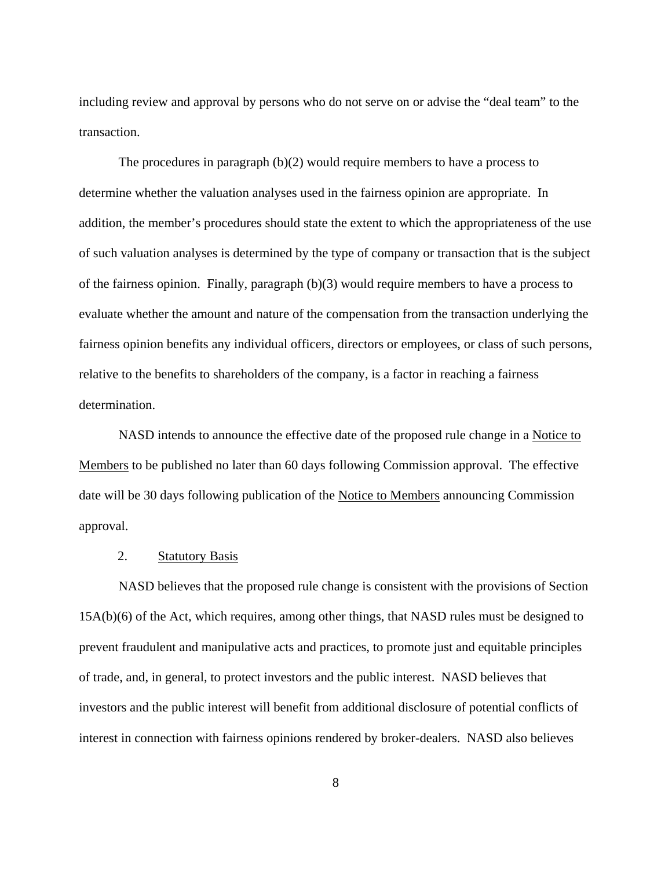including review and approval by persons who do not serve on or advise the "deal team" to the transaction.

The procedures in paragraph (b)(2) would require members to have a process to determine whether the valuation analyses used in the fairness opinion are appropriate. In addition, the member's procedures should state the extent to which the appropriateness of the use of such valuation analyses is determined by the type of company or transaction that is the subject of the fairness opinion. Finally, paragraph (b)(3) would require members to have a process to evaluate whether the amount and nature of the compensation from the transaction underlying the fairness opinion benefits any individual officers, directors or employees, or class of such persons, relative to the benefits to shareholders of the company, is a factor in reaching a fairness determination.

NASD intends to announce the effective date of the proposed rule change in a Notice to Members to be published no later than 60 days following Commission approval. The effective date will be 30 days following publication of the Notice to Members announcing Commission approval.

### 2. Statutory Basis

 NASD believes that the proposed rule change is consistent with the provisions of Section 15A(b)(6) of the Act, which requires, among other things, that NASD rules must be designed to prevent fraudulent and manipulative acts and practices, to promote just and equitable principles of trade, and, in general, to protect investors and the public interest. NASD believes that investors and the public interest will benefit from additional disclosure of potential conflicts of interest in connection with fairness opinions rendered by broker-dealers. NASD also believes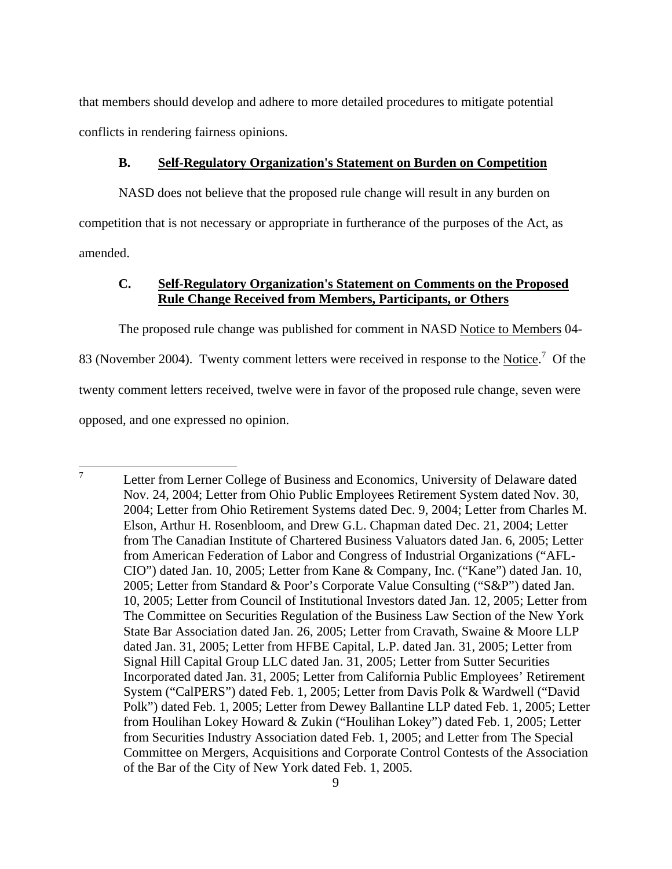that members should develop and adhere to more detailed procedures to mitigate potential conflicts in rendering fairness opinions.

### **B. Self-Regulatory Organization's Statement on Burden on Competition**

NASD does not believe that the proposed rule change will result in any burden on competition that is not necessary or appropriate in furtherance of the purposes of the Act, as amended.

## **C. Self-Regulatory Organization's Statement on Comments on the Proposed Rule Change Received from Members, Participants, or Others**

The proposed rule change was published for comment in NASD Notice to Members 04-

83 (November 2004). Twenty comment letters were received in response to the Notice.<sup>7</sup> Of the twenty comment letters received, twelve were in favor of the proposed rule change, seven were opposed, and one expressed no opinion.

 $\frac{1}{7}$  Letter from Lerner College of Business and Economics, University of Delaware dated Nov. 24, 2004; Letter from Ohio Public Employees Retirement System dated Nov. 30, 2004; Letter from Ohio Retirement Systems dated Dec. 9, 2004; Letter from Charles M. Elson, Arthur H. Rosenbloom, and Drew G.L. Chapman dated Dec. 21, 2004; Letter from The Canadian Institute of Chartered Business Valuators dated Jan. 6, 2005; Letter from American Federation of Labor and Congress of Industrial Organizations ("AFL-CIO") dated Jan. 10, 2005; Letter from Kane & Company, Inc. ("Kane") dated Jan. 10, 2005; Letter from Standard & Poor's Corporate Value Consulting ("S&P") dated Jan. 10, 2005; Letter from Council of Institutional Investors dated Jan. 12, 2005; Letter from The Committee on Securities Regulation of the Business Law Section of the New York State Bar Association dated Jan. 26, 2005; Letter from Cravath, Swaine & Moore LLP dated Jan. 31, 2005; Letter from HFBE Capital, L.P. dated Jan. 31, 2005; Letter from Signal Hill Capital Group LLC dated Jan. 31, 2005; Letter from Sutter Securities Incorporated dated Jan. 31, 2005; Letter from California Public Employees' Retirement System ("CalPERS") dated Feb. 1, 2005; Letter from Davis Polk & Wardwell ("David Polk") dated Feb. 1, 2005; Letter from Dewey Ballantine LLP dated Feb. 1, 2005; Letter from Houlihan Lokey Howard & Zukin ("Houlihan Lokey") dated Feb. 1, 2005; Letter from Securities Industry Association dated Feb. 1, 2005; and Letter from The Special Committee on Mergers, Acquisitions and Corporate Control Contests of the Association of the Bar of the City of New York dated Feb. 1, 2005.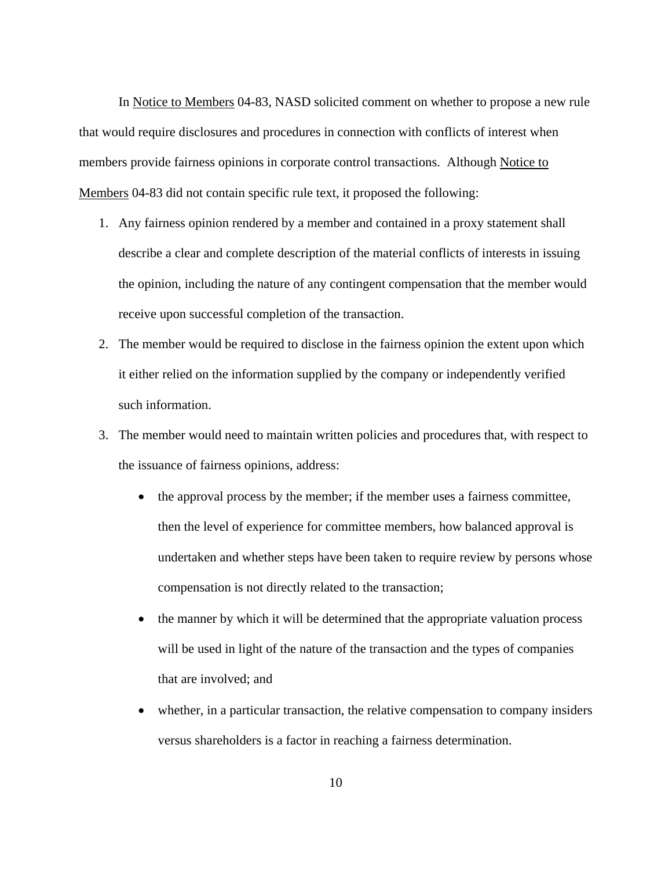In Notice to Members 04-83, NASD solicited comment on whether to propose a new rule that would require disclosures and procedures in connection with conflicts of interest when members provide fairness opinions in corporate control transactions. Although Notice to Members 04-83 did not contain specific rule text, it proposed the following:

- 1. Any fairness opinion rendered by a member and contained in a proxy statement shall describe a clear and complete description of the material conflicts of interests in issuing the opinion, including the nature of any contingent compensation that the member would receive upon successful completion of the transaction.
- 2. The member would be required to disclose in the fairness opinion the extent upon which it either relied on the information supplied by the company or independently verified such information.
- 3. The member would need to maintain written policies and procedures that, with respect to the issuance of fairness opinions, address:
	- the approval process by the member; if the member uses a fairness committee, then the level of experience for committee members, how balanced approval is undertaken and whether steps have been taken to require review by persons whose compensation is not directly related to the transaction;
	- the manner by which it will be determined that the appropriate valuation process will be used in light of the nature of the transaction and the types of companies that are involved; and
	- whether, in a particular transaction, the relative compensation to company insiders versus shareholders is a factor in reaching a fairness determination.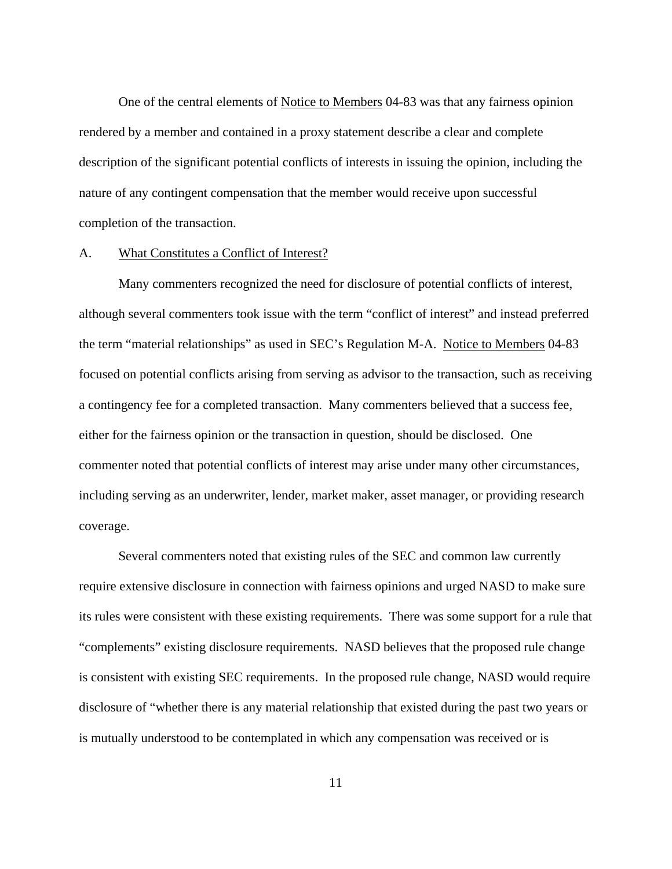One of the central elements of Notice to Members 04-83 was that any fairness opinion rendered by a member and contained in a proxy statement describe a clear and complete description of the significant potential conflicts of interests in issuing the opinion, including the nature of any contingent compensation that the member would receive upon successful completion of the transaction.

#### A. What Constitutes a Conflict of Interest?

Many commenters recognized the need for disclosure of potential conflicts of interest, although several commenters took issue with the term "conflict of interest" and instead preferred the term "material relationships" as used in SEC's Regulation M-A. Notice to Members 04-83 focused on potential conflicts arising from serving as advisor to the transaction, such as receiving a contingency fee for a completed transaction. Many commenters believed that a success fee, either for the fairness opinion or the transaction in question, should be disclosed. One commenter noted that potential conflicts of interest may arise under many other circumstances, including serving as an underwriter, lender, market maker, asset manager, or providing research coverage.

Several commenters noted that existing rules of the SEC and common law currently require extensive disclosure in connection with fairness opinions and urged NASD to make sure its rules were consistent with these existing requirements. There was some support for a rule that "complements" existing disclosure requirements. NASD believes that the proposed rule change is consistent with existing SEC requirements. In the proposed rule change, NASD would require disclosure of "whether there is any material relationship that existed during the past two years or is mutually understood to be contemplated in which any compensation was received or is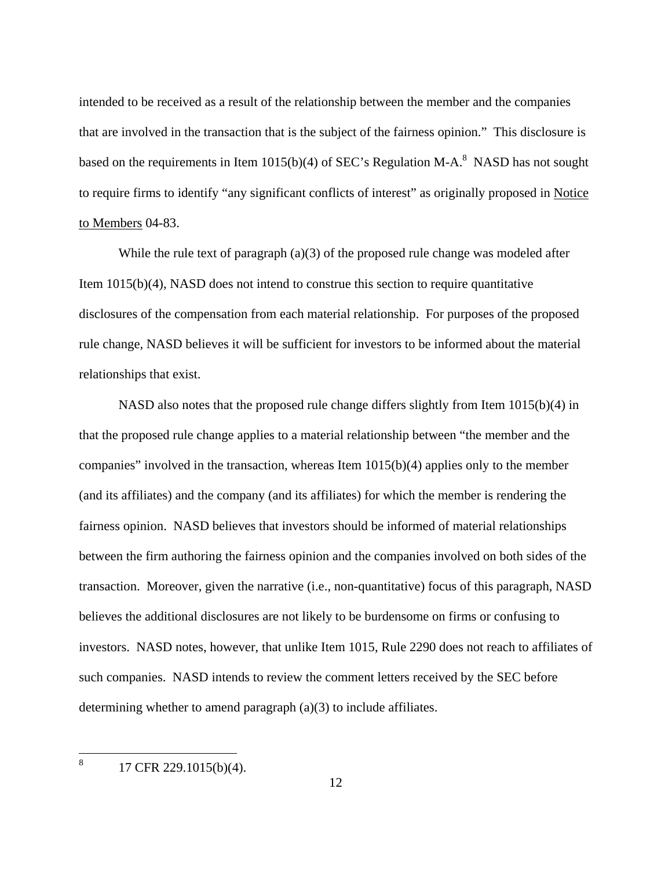intended to be received as a result of the relationship between the member and the companies that are involved in the transaction that is the subject of the fairness opinion." This disclosure is based on the requirements in Item 1015(b)(4) of SEC's Regulation M-A. $^{8}$  NASD has not sought to require firms to identify "any significant conflicts of interest" as originally proposed in Notice to Members 04-83.

While the rule text of paragraph (a)(3) of the proposed rule change was modeled after Item 1015(b)(4), NASD does not intend to construe this section to require quantitative disclosures of the compensation from each material relationship. For purposes of the proposed rule change, NASD believes it will be sufficient for investors to be informed about the material relationships that exist.

NASD also notes that the proposed rule change differs slightly from Item 1015(b)(4) in that the proposed rule change applies to a material relationship between "the member and the companies" involved in the transaction, whereas Item 1015(b)(4) applies only to the member (and its affiliates) and the company (and its affiliates) for which the member is rendering the fairness opinion. NASD believes that investors should be informed of material relationships between the firm authoring the fairness opinion and the companies involved on both sides of the transaction. Moreover, given the narrative (i.e., non-quantitative) focus of this paragraph, NASD believes the additional disclosures are not likely to be burdensome on firms or confusing to investors. NASD notes, however, that unlike Item 1015, Rule 2290 does not reach to affiliates of such companies. NASD intends to review the comment letters received by the SEC before determining whether to amend paragraph (a)(3) to include affiliates.

 8 17 CFR 229.1015(b)(4).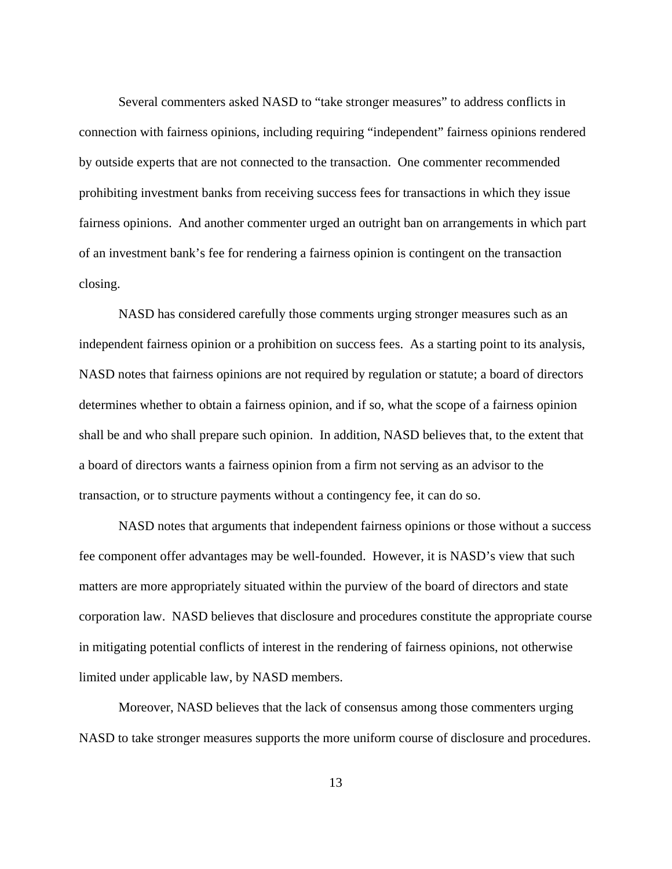Several commenters asked NASD to "take stronger measures" to address conflicts in connection with fairness opinions, including requiring "independent" fairness opinions rendered by outside experts that are not connected to the transaction. One commenter recommended prohibiting investment banks from receiving success fees for transactions in which they issue fairness opinions. And another commenter urged an outright ban on arrangements in which part of an investment bank's fee for rendering a fairness opinion is contingent on the transaction closing.

NASD has considered carefully those comments urging stronger measures such as an independent fairness opinion or a prohibition on success fees. As a starting point to its analysis, NASD notes that fairness opinions are not required by regulation or statute; a board of directors determines whether to obtain a fairness opinion, and if so, what the scope of a fairness opinion shall be and who shall prepare such opinion. In addition, NASD believes that, to the extent that a board of directors wants a fairness opinion from a firm not serving as an advisor to the transaction, or to structure payments without a contingency fee, it can do so.

NASD notes that arguments that independent fairness opinions or those without a success fee component offer advantages may be well-founded. However, it is NASD's view that such matters are more appropriately situated within the purview of the board of directors and state corporation law. NASD believes that disclosure and procedures constitute the appropriate course in mitigating potential conflicts of interest in the rendering of fairness opinions, not otherwise limited under applicable law, by NASD members.

 Moreover, NASD believes that the lack of consensus among those commenters urging NASD to take stronger measures supports the more uniform course of disclosure and procedures.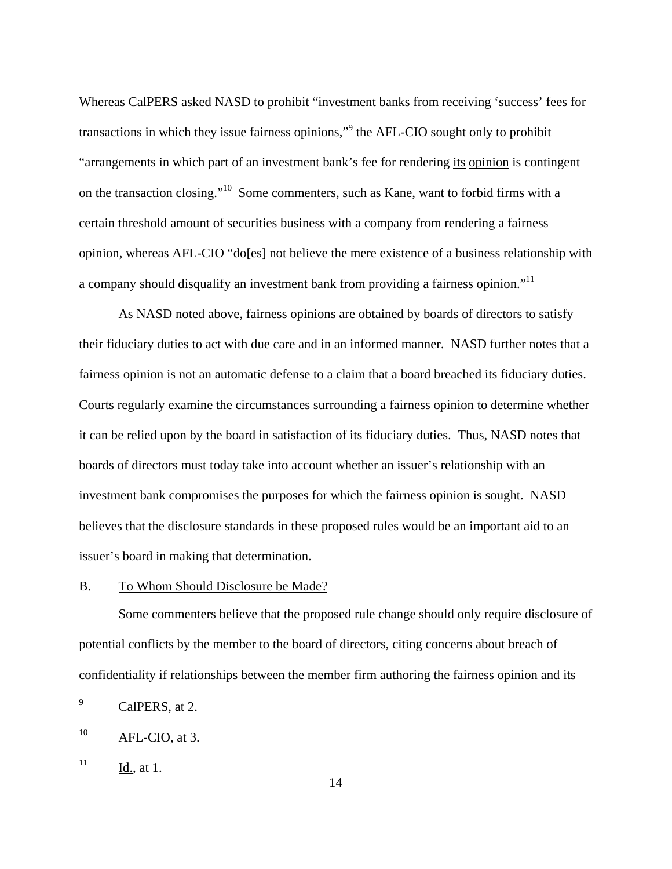Whereas CalPERS asked NASD to prohibit "investment banks from receiving 'success' fees for transactions in which they issue fairness opinions,"<sup>9</sup> the AFL-CIO sought only to prohibit "arrangements in which part of an investment bank's fee for rendering its opinion is contingent on the transaction closing."10 Some commenters, such as Kane, want to forbid firms with a certain threshold amount of securities business with a company from rendering a fairness opinion, whereas AFL-CIO "do[es] not believe the mere existence of a business relationship with a company should disqualify an investment bank from providing a fairness opinion."<sup>11</sup>

 As NASD noted above, fairness opinions are obtained by boards of directors to satisfy their fiduciary duties to act with due care and in an informed manner. NASD further notes that a fairness opinion is not an automatic defense to a claim that a board breached its fiduciary duties. Courts regularly examine the circumstances surrounding a fairness opinion to determine whether it can be relied upon by the board in satisfaction of its fiduciary duties. Thus, NASD notes that boards of directors must today take into account whether an issuer's relationship with an investment bank compromises the purposes for which the fairness opinion is sought. NASD believes that the disclosure standards in these proposed rules would be an important aid to an issuer's board in making that determination.

## B. To Whom Should Disclosure be Made?

Some commenters believe that the proposed rule change should only require disclosure of potential conflicts by the member to the board of directors, citing concerns about breach of confidentiality if relationships between the member firm authoring the fairness opinion and its

 $11$  Id., at 1.

<sup>—&</sup>lt;br>9 CalPERS, at 2.

 $10$  AFL-CIO, at 3.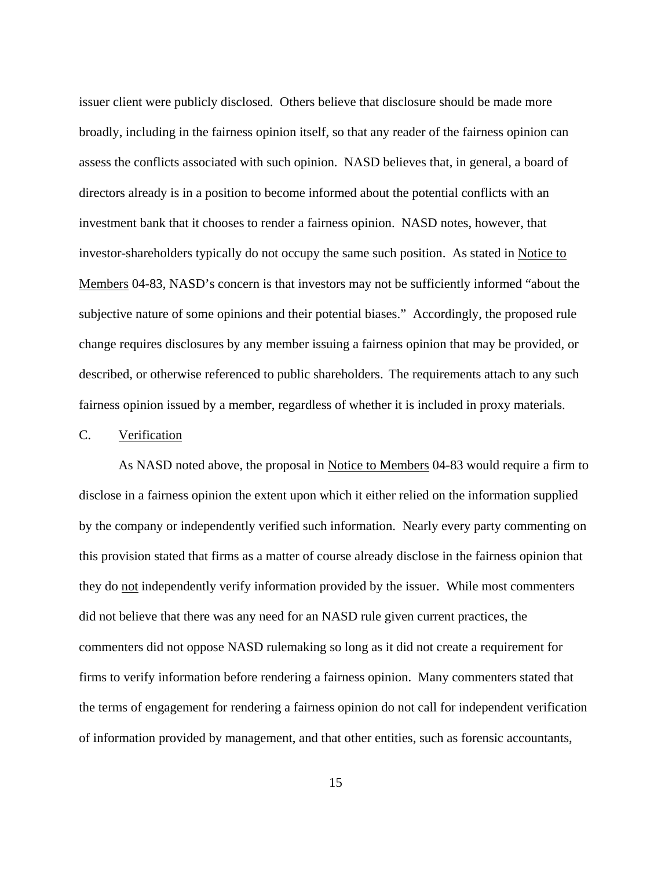issuer client were publicly disclosed. Others believe that disclosure should be made more broadly, including in the fairness opinion itself, so that any reader of the fairness opinion can assess the conflicts associated with such opinion. NASD believes that, in general, a board of directors already is in a position to become informed about the potential conflicts with an investment bank that it chooses to render a fairness opinion. NASD notes, however, that investor-shareholders typically do not occupy the same such position. As stated in Notice to Members 04-83, NASD's concern is that investors may not be sufficiently informed "about the subjective nature of some opinions and their potential biases." Accordingly, the proposed rule change requires disclosures by any member issuing a fairness opinion that may be provided, or described, or otherwise referenced to public shareholders. The requirements attach to any such fairness opinion issued by a member, regardless of whether it is included in proxy materials.

## C. Verification

As NASD noted above, the proposal in Notice to Members 04-83 would require a firm to disclose in a fairness opinion the extent upon which it either relied on the information supplied by the company or independently verified such information. Nearly every party commenting on this provision stated that firms as a matter of course already disclose in the fairness opinion that they do not independently verify information provided by the issuer. While most commenters did not believe that there was any need for an NASD rule given current practices, the commenters did not oppose NASD rulemaking so long as it did not create a requirement for firms to verify information before rendering a fairness opinion. Many commenters stated that the terms of engagement for rendering a fairness opinion do not call for independent verification of information provided by management, and that other entities, such as forensic accountants,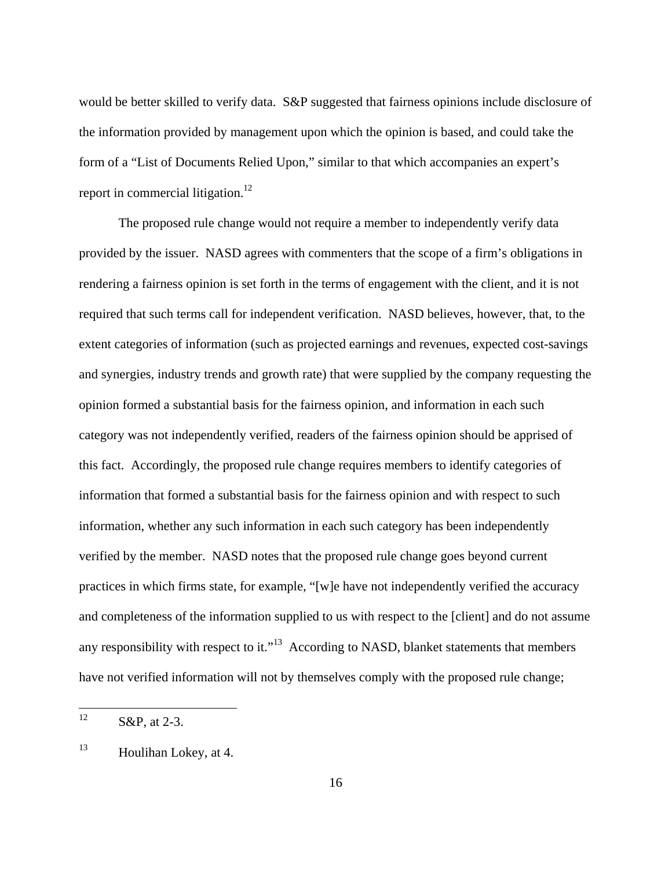would be better skilled to verify data. S&P suggested that fairness opinions include disclosure of the information provided by management upon which the opinion is based, and could take the form of a "List of Documents Relied Upon," similar to that which accompanies an expert's report in commercial litigation.<sup>12</sup>

The proposed rule change would not require a member to independently verify data provided by the issuer. NASD agrees with commenters that the scope of a firm's obligations in rendering a fairness opinion is set forth in the terms of engagement with the client, and it is not required that such terms call for independent verification. NASD believes, however, that, to the extent categories of information (such as projected earnings and revenues, expected cost-savings and synergies, industry trends and growth rate) that were supplied by the company requesting the opinion formed a substantial basis for the fairness opinion, and information in each such category was not independently verified, readers of the fairness opinion should be apprised of this fact. Accordingly, the proposed rule change requires members to identify categories of information that formed a substantial basis for the fairness opinion and with respect to such information, whether any such information in each such category has been independently verified by the member. NASD notes that the proposed rule change goes beyond current practices in which firms state, for example, "[w]e have not independently verified the accuracy and completeness of the information supplied to us with respect to the [client] and do not assume any responsibility with respect to it."<sup>13</sup> According to NASD, blanket statements that members have not verified information will not by themselves comply with the proposed rule change;

 $12$ S&P, at 2-3.

<sup>13</sup> Houlihan Lokey, at 4.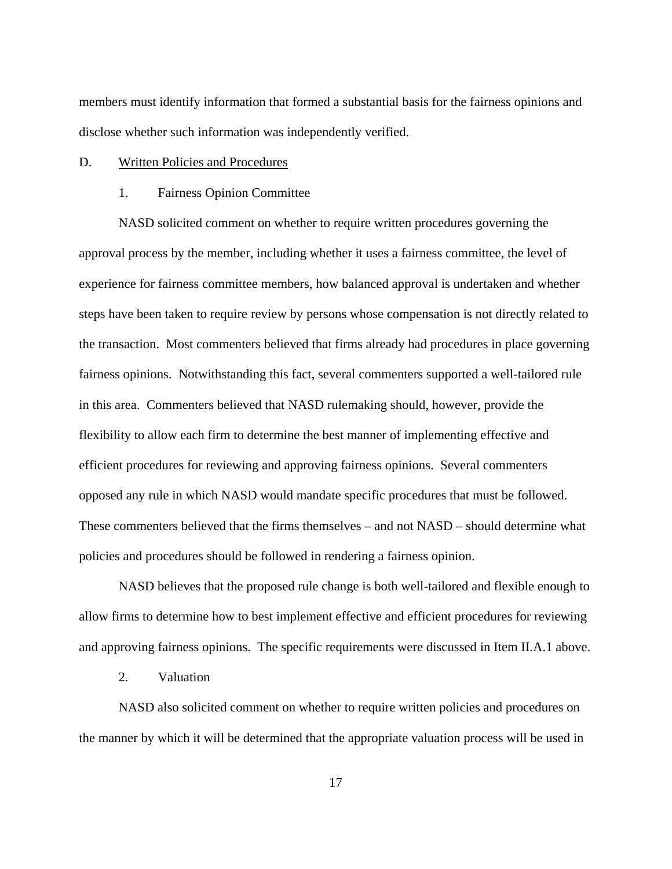members must identify information that formed a substantial basis for the fairness opinions and disclose whether such information was independently verified.

#### D. Written Policies and Procedures

#### 1. Fairness Opinion Committee

NASD solicited comment on whether to require written procedures governing the approval process by the member, including whether it uses a fairness committee, the level of experience for fairness committee members, how balanced approval is undertaken and whether steps have been taken to require review by persons whose compensation is not directly related to the transaction. Most commenters believed that firms already had procedures in place governing fairness opinions. Notwithstanding this fact, several commenters supported a well-tailored rule in this area. Commenters believed that NASD rulemaking should, however, provide the flexibility to allow each firm to determine the best manner of implementing effective and efficient procedures for reviewing and approving fairness opinions. Several commenters opposed any rule in which NASD would mandate specific procedures that must be followed. These commenters believed that the firms themselves – and not NASD – should determine what policies and procedures should be followed in rendering a fairness opinion.

NASD believes that the proposed rule change is both well-tailored and flexible enough to allow firms to determine how to best implement effective and efficient procedures for reviewing and approving fairness opinions. The specific requirements were discussed in Item II.A.1 above.

### 2. Valuation

NASD also solicited comment on whether to require written policies and procedures on the manner by which it will be determined that the appropriate valuation process will be used in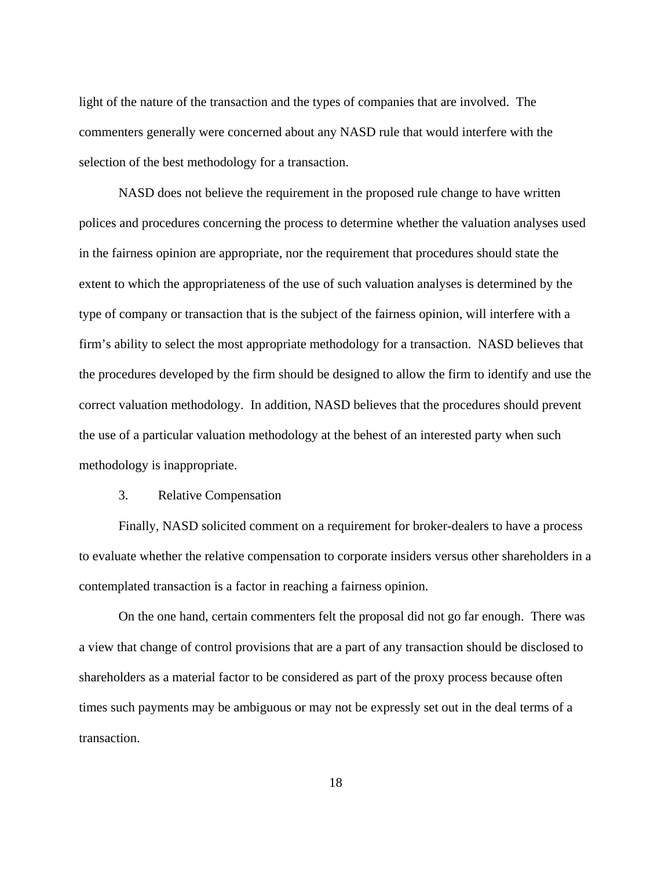light of the nature of the transaction and the types of companies that are involved. The commenters generally were concerned about any NASD rule that would interfere with the selection of the best methodology for a transaction.

NASD does not believe the requirement in the proposed rule change to have written polices and procedures concerning the process to determine whether the valuation analyses used in the fairness opinion are appropriate, nor the requirement that procedures should state the extent to which the appropriateness of the use of such valuation analyses is determined by the type of company or transaction that is the subject of the fairness opinion, will interfere with a firm's ability to select the most appropriate methodology for a transaction. NASD believes that the procedures developed by the firm should be designed to allow the firm to identify and use the correct valuation methodology. In addition, NASD believes that the procedures should prevent the use of a particular valuation methodology at the behest of an interested party when such methodology is inappropriate.

### 3. Relative Compensation

Finally, NASD solicited comment on a requirement for broker-dealers to have a process to evaluate whether the relative compensation to corporate insiders versus other shareholders in a contemplated transaction is a factor in reaching a fairness opinion.

On the one hand, certain commenters felt the proposal did not go far enough. There was a view that change of control provisions that are a part of any transaction should be disclosed to shareholders as a material factor to be considered as part of the proxy process because often times such payments may be ambiguous or may not be expressly set out in the deal terms of a transaction.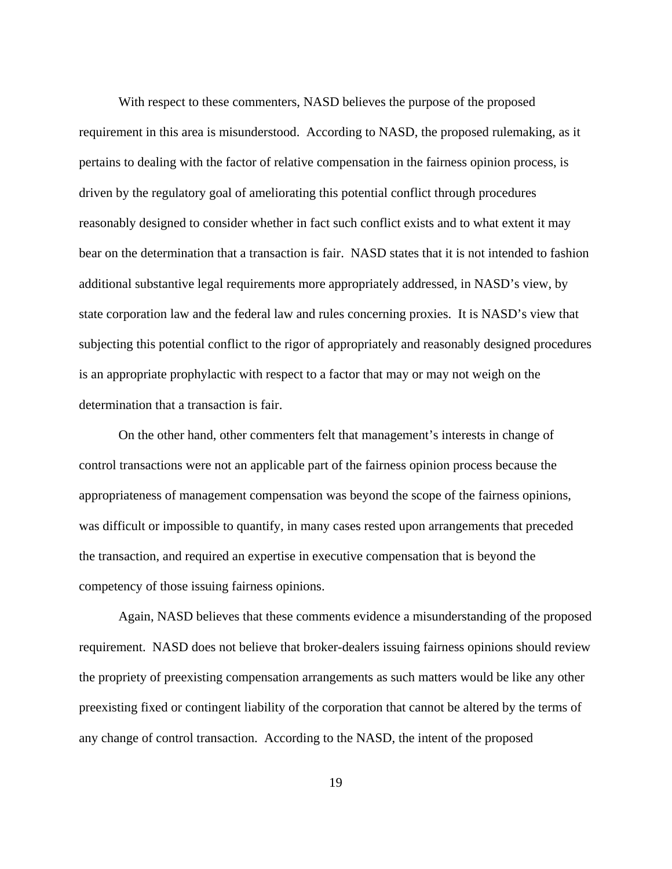With respect to these commenters, NASD believes the purpose of the proposed requirement in this area is misunderstood. According to NASD, the proposed rulemaking, as it pertains to dealing with the factor of relative compensation in the fairness opinion process, is driven by the regulatory goal of ameliorating this potential conflict through procedures reasonably designed to consider whether in fact such conflict exists and to what extent it may bear on the determination that a transaction is fair. NASD states that it is not intended to fashion additional substantive legal requirements more appropriately addressed, in NASD's view, by state corporation law and the federal law and rules concerning proxies. It is NASD's view that subjecting this potential conflict to the rigor of appropriately and reasonably designed procedures is an appropriate prophylactic with respect to a factor that may or may not weigh on the determination that a transaction is fair.

 On the other hand, other commenters felt that management's interests in change of control transactions were not an applicable part of the fairness opinion process because the appropriateness of management compensation was beyond the scope of the fairness opinions, was difficult or impossible to quantify, in many cases rested upon arrangements that preceded the transaction, and required an expertise in executive compensation that is beyond the competency of those issuing fairness opinions.

Again, NASD believes that these comments evidence a misunderstanding of the proposed requirement. NASD does not believe that broker-dealers issuing fairness opinions should review the propriety of preexisting compensation arrangements as such matters would be like any other preexisting fixed or contingent liability of the corporation that cannot be altered by the terms of any change of control transaction. According to the NASD, the intent of the proposed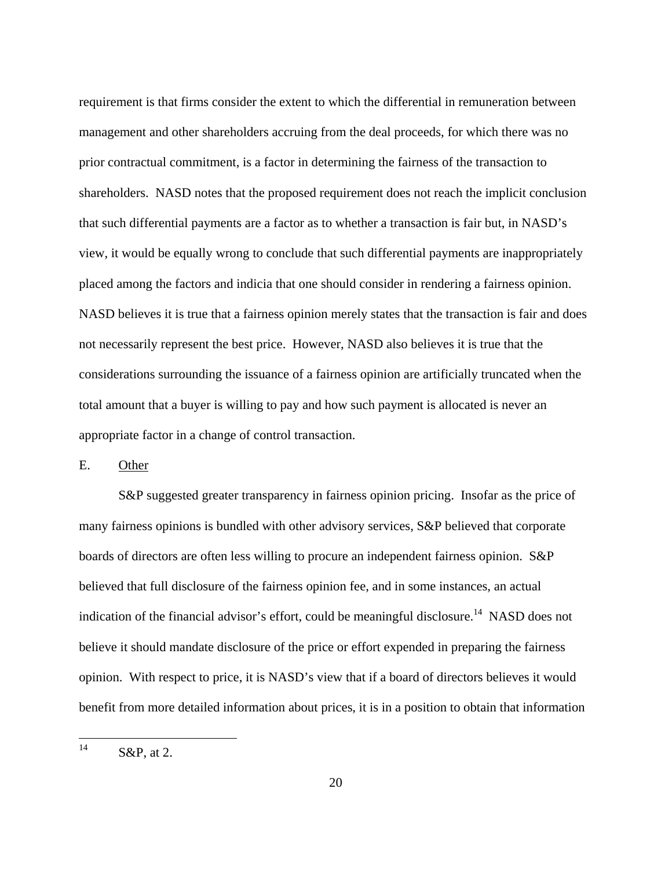requirement is that firms consider the extent to which the differential in remuneration between management and other shareholders accruing from the deal proceeds, for which there was no prior contractual commitment, is a factor in determining the fairness of the transaction to shareholders. NASD notes that the proposed requirement does not reach the implicit conclusion that such differential payments are a factor as to whether a transaction is fair but, in NASD's view, it would be equally wrong to conclude that such differential payments are inappropriately placed among the factors and indicia that one should consider in rendering a fairness opinion. NASD believes it is true that a fairness opinion merely states that the transaction is fair and does not necessarily represent the best price. However, NASD also believes it is true that the considerations surrounding the issuance of a fairness opinion are artificially truncated when the total amount that a buyer is willing to pay and how such payment is allocated is never an appropriate factor in a change of control transaction.

E. Other

S&P suggested greater transparency in fairness opinion pricing. Insofar as the price of many fairness opinions is bundled with other advisory services, S&P believed that corporate boards of directors are often less willing to procure an independent fairness opinion. S&P believed that full disclosure of the fairness opinion fee, and in some instances, an actual indication of the financial advisor's effort, could be meaningful disclosure.<sup>14</sup> NASD does not believe it should mandate disclosure of the price or effort expended in preparing the fairness opinion. With respect to price, it is NASD's view that if a board of directors believes it would benefit from more detailed information about prices, it is in a position to obtain that information

 $14$ S&P, at 2.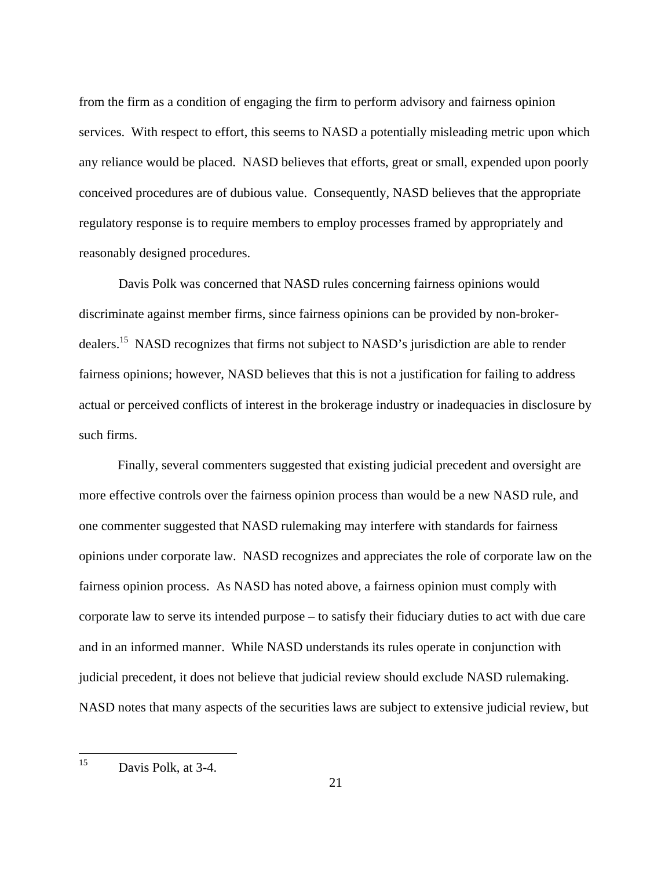from the firm as a condition of engaging the firm to perform advisory and fairness opinion services. With respect to effort, this seems to NASD a potentially misleading metric upon which any reliance would be placed. NASD believes that efforts, great or small, expended upon poorly conceived procedures are of dubious value. Consequently, NASD believes that the appropriate regulatory response is to require members to employ processes framed by appropriately and reasonably designed procedures.

Davis Polk was concerned that NASD rules concerning fairness opinions would discriminate against member firms, since fairness opinions can be provided by non-brokerdealers.<sup>15</sup> NASD recognizes that firms not subject to NASD's jurisdiction are able to render fairness opinions; however, NASD believes that this is not a justification for failing to address actual or perceived conflicts of interest in the brokerage industry or inadequacies in disclosure by such firms.

Finally, several commenters suggested that existing judicial precedent and oversight are more effective controls over the fairness opinion process than would be a new NASD rule, and one commenter suggested that NASD rulemaking may interfere with standards for fairness opinions under corporate law. NASD recognizes and appreciates the role of corporate law on the fairness opinion process. As NASD has noted above, a fairness opinion must comply with corporate law to serve its intended purpose – to satisfy their fiduciary duties to act with due care and in an informed manner. While NASD understands its rules operate in conjunction with judicial precedent, it does not believe that judicial review should exclude NASD rulemaking. NASD notes that many aspects of the securities laws are subject to extensive judicial review, but

<sup>15</sup> Davis Polk, at 3-4.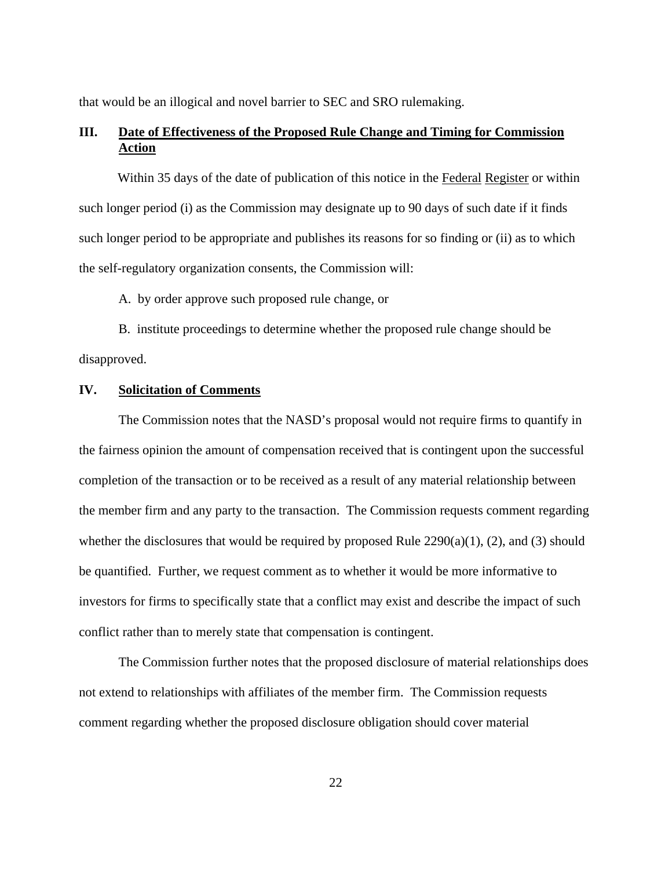that would be an illogical and novel barrier to SEC and SRO rulemaking.

# **III. Date of Effectiveness of the Proposed Rule Change and Timing for Commission Action**

Within 35 days of the date of publication of this notice in the Federal Register or within such longer period (i) as the Commission may designate up to 90 days of such date if it finds such longer period to be appropriate and publishes its reasons for so finding or (ii) as to which the self-regulatory organization consents, the Commission will:

A. by order approve such proposed rule change, or

 B. institute proceedings to determine whether the proposed rule change should be disapproved.

### **IV. Solicitation of Comments**

The Commission notes that the NASD's proposal would not require firms to quantify in the fairness opinion the amount of compensation received that is contingent upon the successful completion of the transaction or to be received as a result of any material relationship between the member firm and any party to the transaction. The Commission requests comment regarding whether the disclosures that would be required by proposed Rule  $2290(a)(1)$ , (2), and (3) should be quantified. Further, we request comment as to whether it would be more informative to investors for firms to specifically state that a conflict may exist and describe the impact of such conflict rather than to merely state that compensation is contingent.

The Commission further notes that the proposed disclosure of material relationships does not extend to relationships with affiliates of the member firm. The Commission requests comment regarding whether the proposed disclosure obligation should cover material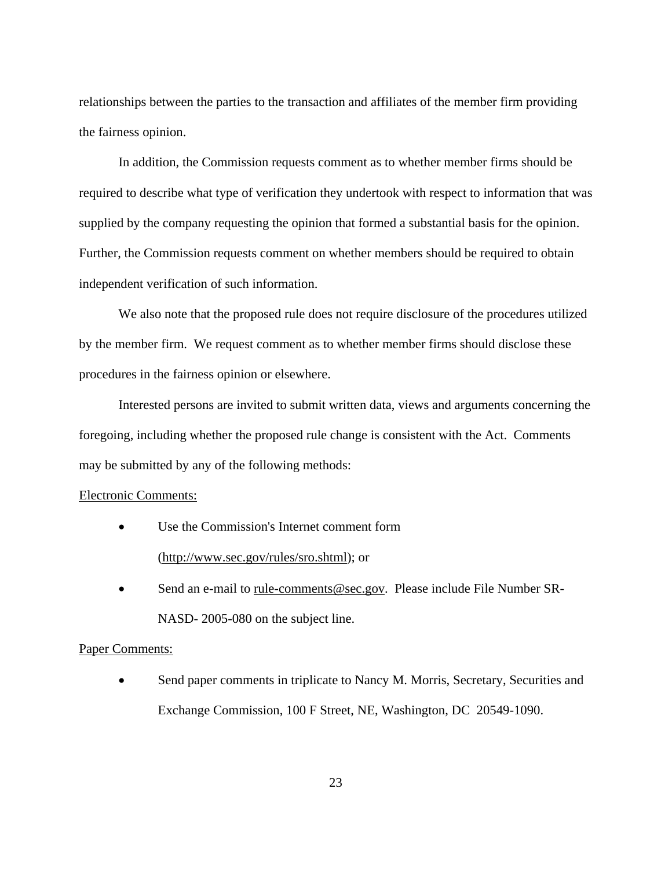relationships between the parties to the transaction and affiliates of the member firm providing the fairness opinion.

In addition, the Commission requests comment as to whether member firms should be required to describe what type of verification they undertook with respect to information that was supplied by the company requesting the opinion that formed a substantial basis for the opinion. Further, the Commission requests comment on whether members should be required to obtain independent verification of such information.

We also note that the proposed rule does not require disclosure of the procedures utilized by the member firm. We request comment as to whether member firms should disclose these procedures in the fairness opinion or elsewhere.

Interested persons are invited to submit written data, views and arguments concerning the foregoing, including whether the proposed rule change is consistent with the Act. Comments may be submitted by any of the following methods:

### Electronic Comments:

- Use the Commission's Internet comment form (http://www.sec.gov/rules/sro.shtml); or
- Send an e-mail to rule-comments@sec.gov. Please include File Number SR-NASD- 2005-080 on the subject line.

#### Paper Comments:

• Send paper comments in triplicate to Nancy M. Morris, Secretary, Securities and Exchange Commission, 100 F Street, NE, Washington, DC 20549-1090.